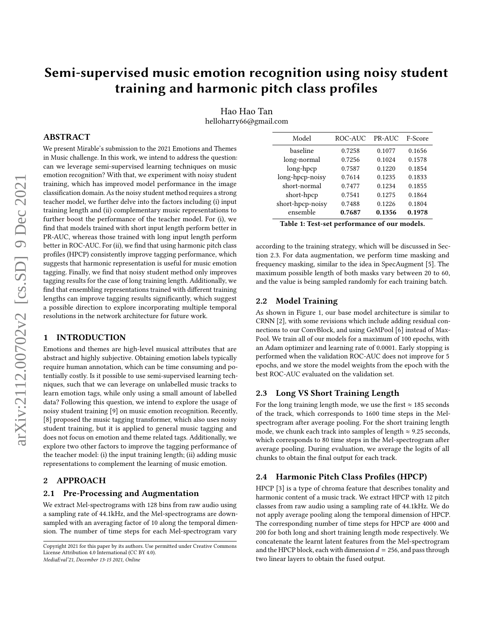# Semi-supervised music emotion recognition using noisy student training and harmonic pitch class profiles

Hao Hao Tan helloharry66@gmail.com

# ABSTRACT

We present Mirable's submission to the 2021 Emotions and Themes in Music challenge. In this work, we intend to address the question: can we leverage semi-supervised learning techniques on music emotion recognition? With that, we experiment with noisy student training, which has improved model performance in the image classification domain. As the noisy student method requires a strong teacher model, we further delve into the factors including (i) input training length and (ii) complementary music representations to further boost the performance of the teacher model. For (i), we find that models trained with short input length perform better in PR-AUC, whereas those trained with long input length perform better in ROC-AUC. For (ii), we find that using harmonic pitch class profiles (HPCP) consistently improve tagging performance, which suggests that harmonic representation is useful for music emotion tagging. Finally, we find that noisy student method only improves tagging results for the case of long training length. Additionally, we find that ensembling representations trained with different training lengths can improve tagging results significantly, which suggest a possible direction to explore incorporating multiple temporal resolutions in the network architecture for future work.

# 1 INTRODUCTION

Emotions and themes are high-level musical attributes that are abstract and highly subjective. Obtaining emotion labels typically require human annotation, which can be time consuming and potentially costly. Is it possible to use semi-supervised learning techniques, such that we can leverage on unlabelled music tracks to learn emotion tags, while only using a small amount of labelled data? Following this question, we intend to explore the usage of noisy student training [\[9\]](#page-2-0) on music emotion recognition. Recently, [\[8\]](#page-2-1) proposed the music tagging transformer, which also uses noisy student training, but it is applied to general music tagging and does not focus on emotion and theme related tags. Additionally, we explore two other factors to improve the tagging performance of the teacher model: (i) the input training length; (ii) adding music representations to complement the learning of music emotion.

# 2 APPROACH

# 2.1 Pre-Processing and Augmentation

We extract Mel-spectrograms with 128 bins from raw audio using a sampling rate of 44.1kHz, and the Mel-spectrograms are downsampled with an averaging factor of 10 along the temporal dimension. The number of time steps for each Mel-spectrogram vary

Model ROC-AUC PR-AUC F-Score baseline 0.7258 0.1077 0.1656 long-normal 0.7256 0.1024 0.1578 long-hpcp 0.7587 0.1220 0.1854 long-hpcp-noisy 0.7614 0.1235 0.1833 short-normal 0.7477 0.1234 0.1855 short-hpcp 0.7541 0.1275 0.1864 short-hpcp-noisy 0.7488 0.1226 0.1804 ensemble 0.7687 0.1356 0.1978

Table 1: Test-set performance of our models.

according to the training strategy, which will be discussed in Section 2.3. For data augmentation, we perform time masking and frequency masking, similar to the idea in SpecAugment [\[5\]](#page-2-2). The maximum possible length of both masks vary between 20 to 60, and the value is being sampled randomly for each training batch.

# 2.2 Model Training

As shown in Figure 1, our base model architecture is similar to CRNN [\[2\]](#page-2-3), with some revisions which include adding residual connections to our ConvBlock, and using GeMPool [\[6\]](#page-2-4) instead of Max-Pool. We train all of our models for a maximum of 100 epochs, with an Adam optimizer and learning rate of 0.0001. Early stopping is performed when the validation ROC-AUC does not improve for 5 epochs, and we store the model weights from the epoch with the best ROC-AUC evaluated on the validation set.

# 2.3 Long VS Short Training Length

For the long training length mode, we use the first  $\approx 185$  seconds of the track, which corresponds to 1600 time steps in the Melspectrogram after average pooling. For the short training length mode, we chunk each track into samples of length  $\approx$  9.25 seconds, which corresponds to 80 time steps in the Mel-spectrogram after average pooling. During evaluation, we average the logits of all chunks to obtain the final output for each track.

# 2.4 Harmonic Pitch Class Profiles (HPCP)

HPCP [\[3\]](#page-2-5) is a type of chroma feature that describes tonality and harmonic content of a music track. We extract HPCP with 12 pitch classes from raw audio using a sampling rate of 44.1kHz. We do not apply average pooling along the temporal dimension of HPCP. The corresponding number of time steps for HPCP are 4000 and 200 for both long and short training length mode respectively. We concatenate the learnt latent features from the Mel-spectrogram and the HPCP block, each with dimension  $d = 256$ , and pass through two linear layers to obtain the fused output.

Copyright 2021 for this paper by its authors. Use permitted under Creative Commons License Attribution 4.0 International (CC BY 4.0). MediaEval'21, December 13-15 2021, Online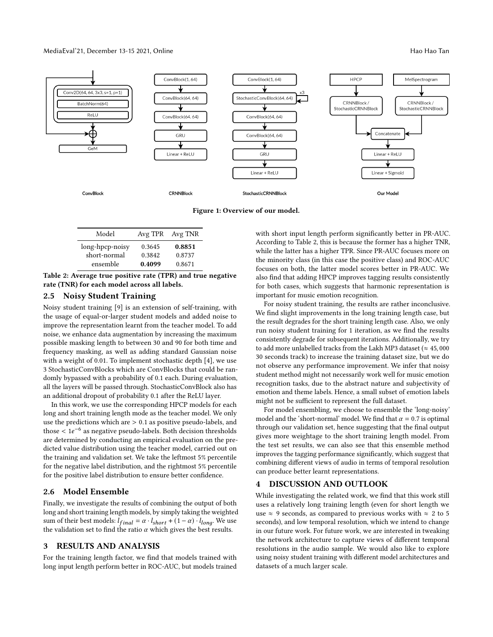### MediaEval'21, December 13-15 2021, Online Hao Hao Tan Andrew Hao Hao Tan Andrew Hao Hao Tan Andrew Hao Hao Tan



Figure 1: Overview of our model.

| Model           |        | Avg TPR Avg TNR |
|-----------------|--------|-----------------|
| long-hpcp-noisy | 0.3645 | 0.8851          |
| short-normal    | 0.3842 | 0.8737          |
| ensemble        | 0.4099 | 0.8671          |

Table 2: Average true positive rate (TPR) and true negative rate (TNR) for each model across all labels.

# 2.5 Noisy Student Training

Noisy student training [\[9\]](#page-2-0) is an extension of self-training, with the usage of equal-or-larger student models and added noise to improve the representation learnt from the teacher model. To add noise, we enhance data augmentation by increasing the maximum possible masking length to between 30 and 90 for both time and frequency masking, as well as adding standard Gaussian noise with a weight of 0.01. To implement stochastic depth [\[4\]](#page-2-6), we use 3 StochasticConvBlocks which are ConvBlocks that could be randomly bypassed with a probability of 0.1 each. During evaluation, all the layers will be passed through. StochasticConvBlock also has an additional dropout of probability 0.1 after the ReLU layer.

In this work, we use the corresponding HPCP models for each long and short training length mode as the teacher model. We only use the predictions which are  $> 0.1$  as positive pseudo-labels, and those  $\lt 1e^{-6}$  as negative pseudo-labels. Both decision thresholds are determined by conducting an empirical evaluation on the predicted value distribution using the teacher model, carried out on the training and validation set. We take the leftmost 5% percentile for the negative label distribution, and the rightmost 5% percentile for the positive label distribution to ensure better confidence.

# 2.6 Model Ensemble

Finally, we investigate the results of combining the output of both long and short training length models, by simply taking the weighted sum of their best models:  $l_{final} = \alpha \cdot l_{short} + (1 - \alpha) \cdot l_{long}$ . We use the validation set to find the ratio  $\alpha$  which gives the best results.

# 3 RESULTS AND ANALYSIS

For the training length factor, we find that models trained with long input length perform better in ROC-AUC, but models trained with short input length perform significantly better in PR-AUC. According to Table 2, this is because the former has a higher TNR, while the latter has a higher TPR. Since PR-AUC focuses more on the minority class (in this case the positive class) and ROC-AUC focuses on both, the latter model scores better in PR-AUC. We also find that adding HPCP improves tagging results consistently for both cases, which suggests that harmonic representation is important for music emotion recognition.

For noisy student training, the results are rather inconclusive. We find slight improvements in the long training length case, but the result degrades for the short training length case. Also, we only run noisy student training for 1 iteration, as we find the results consistently degrade for subsequent iterations. Additionally, we try to add more unlabelled tracks from the Lakh MP3 dataset ( $\approx 45,000$ 30 seconds track) to increase the training dataset size, but we do not observe any performance improvement. We infer that noisy student method might not necessarily work well for music emotion recognition tasks, due to the abstract nature and subjectivity of emotion and theme labels. Hence, a small subset of emotion labels might not be sufficient to represent the full dataset.

For model ensembling, we choose to ensemble the 'long-noisy' model and the 'short-normal' model. We find that  $\alpha = 0.7$  is optimal through our validation set, hence suggesting that the final output gives more weightage to the short training length model. From the test set results, we can also see that this ensemble method improves the tagging performance significantly, which suggest that combining different views of audio in terms of temporal resolution can produce better learnt representations.

# 4 DISCUSSION AND OUTLOOK

While investigating the related work, we find that this work still uses a relatively long training length (even for short length we use  $\approx$  9 seconds, as compared to previous works with  $\approx$  2 to 5 seconds), and low temporal resolution, which we intend to change in our future work. For future work, we are interested in tweaking the network architecture to capture views of different temporal resolutions in the audio sample. We would also like to explore using noisy student training with different model architectures and datasets of a much larger scale.